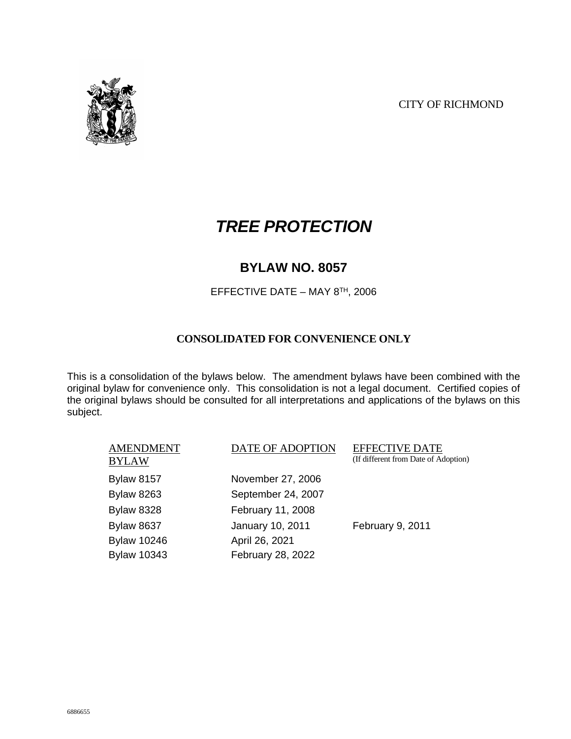

# *TREE PROTECTION*

### **BYLAW NO. 8057**

EFFECTIVE DATE – MAY 8TH, 2006

#### **CONSOLIDATED FOR CONVENIENCE ONLY**

This is a consolidation of the bylaws below. The amendment bylaws have been combined with the original bylaw for convenience only. This consolidation is not a legal document. Certified copies of the original bylaws should be consulted for all interpretations and applications of the bylaws on this subject.

| AMENDMENT<br>BYLAW | DATE OF ADOPTION   | <b>EFFECTIVE DATE</b><br>(If different from Date of Adoption) |
|--------------------|--------------------|---------------------------------------------------------------|
| <b>Bylaw 8157</b>  | November 27, 2006  |                                                               |
| <b>Bylaw 8263</b>  | September 24, 2007 |                                                               |
| <b>Bylaw 8328</b>  | February 11, 2008  |                                                               |
| <b>Bylaw 8637</b>  | January 10, 2011   | February 9, 2011                                              |
| <b>Bylaw 10246</b> | April 26, 2021     |                                                               |
| <b>Bylaw 10343</b> | February 28, 2022  |                                                               |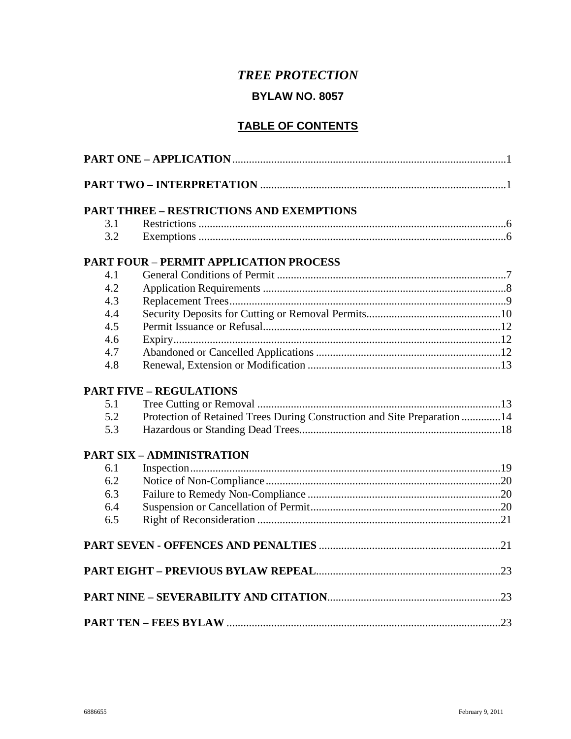### **TREE PROTECTION**

### **BYLAW NO. 8057**

### **TABLE OF CONTENTS**

|     | <b>PART THREE - RESTRICTIONS AND EXEMPTIONS</b>                          |  |
|-----|--------------------------------------------------------------------------|--|
| 3.1 |                                                                          |  |
| 3.2 |                                                                          |  |
|     | <b>PART FOUR - PERMIT APPLICATION PROCESS</b>                            |  |
| 4.1 |                                                                          |  |
| 4.2 |                                                                          |  |
| 4.3 |                                                                          |  |
| 4.4 |                                                                          |  |
| 4.5 |                                                                          |  |
| 4.6 |                                                                          |  |
| 4.7 |                                                                          |  |
| 4.8 |                                                                          |  |
|     | <b>PART FIVE - REGULATIONS</b>                                           |  |
| 5.1 |                                                                          |  |
| 5.2 | Protection of Retained Trees During Construction and Site Preparation 14 |  |
| 5.3 |                                                                          |  |
|     | <b>PART SIX - ADMINISTRATION</b>                                         |  |
| 6.1 |                                                                          |  |
| 6.2 |                                                                          |  |
| 6.3 |                                                                          |  |
| 6.4 |                                                                          |  |
| 6.5 |                                                                          |  |
|     |                                                                          |  |
|     |                                                                          |  |
|     |                                                                          |  |
|     |                                                                          |  |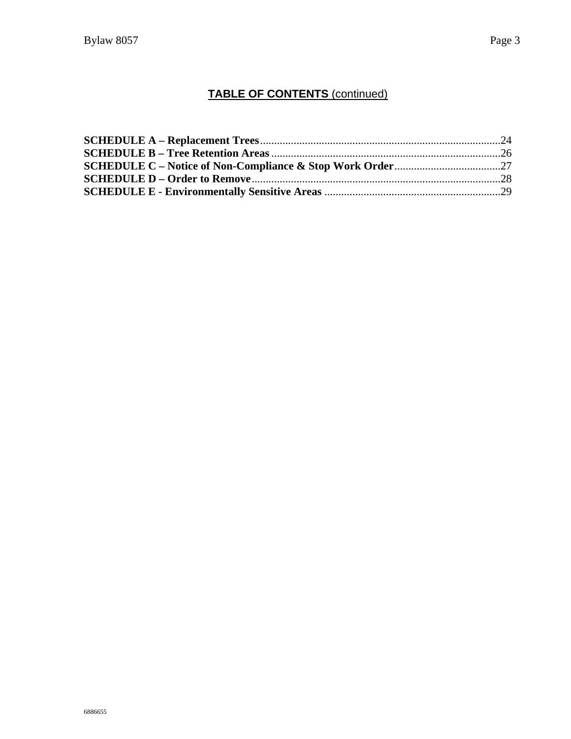### **TABLE OF CONTENTS** (continued)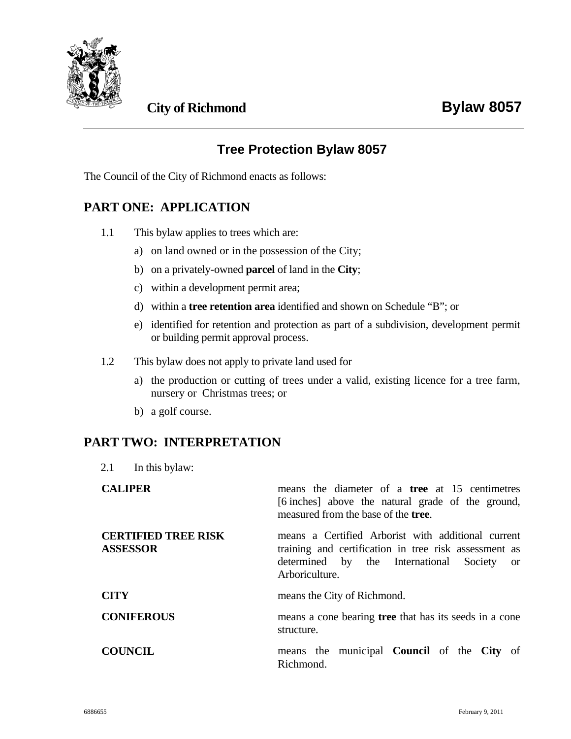

### **City of Richmond Bylaw 8057**

### **Tree Protection Bylaw 8057**

The Council of the City of Richmond enacts as follows:

### **PART ONE: APPLICATION**

- 1.1 This bylaw applies to trees which are:
	- a) on land owned or in the possession of the City;
	- b) on a privately-owned **parcel** of land in the **City**;
	- c) within a development permit area;
	- d) within a **tree retention area** identified and shown on Schedule "B"; or
	- e) identified for retention and protection as part of a subdivision, development permit or building permit approval process.
- 1.2 This bylaw does not apply to private land used for
	- a) the production or cutting of trees under a valid, existing licence for a tree farm, nursery or Christmas trees; or
	- b) a golf course.

#### **PART TWO: INTERPRETATION**

2.1 In this bylaw:

| <b>CALIPER</b>                                | means the diameter of a <b>tree</b> at 15 centimetres<br>[6 inches] above the natural grade of the ground,<br>measured from the base of the <b>tree</b> .                   |
|-----------------------------------------------|-----------------------------------------------------------------------------------------------------------------------------------------------------------------------------|
| <b>CERTIFIED TREE RISK</b><br><b>ASSESSOR</b> | means a Certified Arborist with additional current<br>training and certification in tree risk assessment as<br>determined by the International Society or<br>Arboriculture. |
| <b>CITY</b>                                   | means the City of Richmond.                                                                                                                                                 |
| <b>CONIFEROUS</b>                             | means a cone bearing <b>tree</b> that has its seeds in a cone<br>structure.                                                                                                 |
| <b>COUNCIL</b>                                | means the municipal <b>Council</b> of the <b>City</b> of<br>Richmond.                                                                                                       |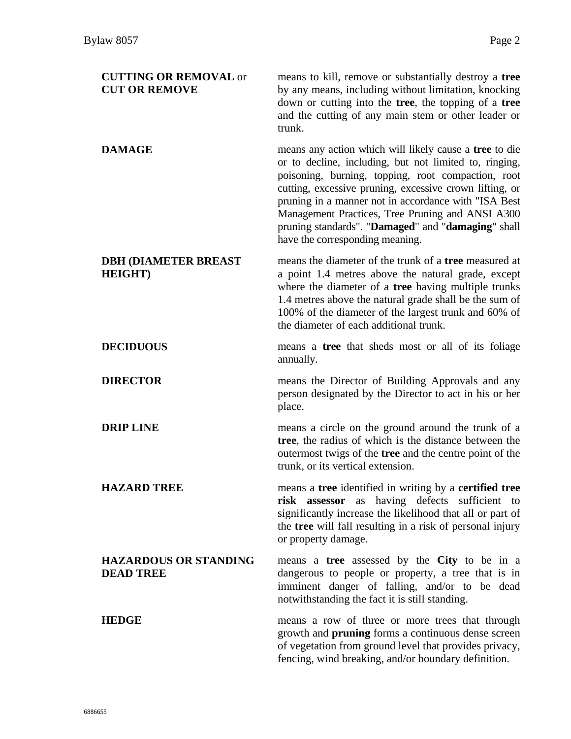| <b>CUTTING OR REMOVAL or</b><br><b>CUT OR REMOVE</b> | means to kill, remove or substantially destroy a tree<br>by any means, including without limitation, knocking<br>down or cutting into the tree, the topping of a tree<br>and the cutting of any main stem or other leader or<br>trunk.                                                                                                                                                                                                 |
|------------------------------------------------------|----------------------------------------------------------------------------------------------------------------------------------------------------------------------------------------------------------------------------------------------------------------------------------------------------------------------------------------------------------------------------------------------------------------------------------------|
| <b>DAMAGE</b>                                        | means any action which will likely cause a tree to die<br>or to decline, including, but not limited to, ringing,<br>poisoning, burning, topping, root compaction, root<br>cutting, excessive pruning, excessive crown lifting, or<br>pruning in a manner not in accordance with "ISA Best<br>Management Practices, Tree Pruning and ANSI A300<br>pruning standards". "Damaged" and "damaging" shall<br>have the corresponding meaning. |
| <b>DBH (DIAMETER BREAST</b><br><b>HEIGHT</b> )       | means the diameter of the trunk of a <b>tree</b> measured at<br>a point 1.4 metres above the natural grade, except<br>where the diameter of a tree having multiple trunks<br>1.4 metres above the natural grade shall be the sum of<br>100% of the diameter of the largest trunk and 60% of<br>the diameter of each additional trunk.                                                                                                  |
| <b>DECIDUOUS</b>                                     | means a tree that sheds most or all of its foliage<br>annually.                                                                                                                                                                                                                                                                                                                                                                        |
| <b>DIRECTOR</b>                                      | means the Director of Building Approvals and any<br>person designated by the Director to act in his or her<br>place.                                                                                                                                                                                                                                                                                                                   |
| <b>DRIP LINE</b>                                     | means a circle on the ground around the trunk of a<br>tree, the radius of which is the distance between the<br>outermost twigs of the tree and the centre point of the<br>trunk, or its vertical extension.                                                                                                                                                                                                                            |
| <b>HAZARD TREE</b>                                   | means a tree identified in writing by a certified tree<br>risk assessor as having defects sufficient to<br>significantly increase the likelihood that all or part of<br>the tree will fall resulting in a risk of personal injury<br>or property damage.                                                                                                                                                                               |
| <b>HAZARDOUS OR STANDING</b><br><b>DEAD TREE</b>     | means a tree assessed by the City to be in a<br>dangerous to people or property, a tree that is in<br>imminent danger of falling, and/or to be dead<br>notwithstanding the fact it is still standing.                                                                                                                                                                                                                                  |
| <b>HEDGE</b>                                         | means a row of three or more trees that through<br>growth and <b>pruning</b> forms a continuous dense screen<br>of vegetation from ground level that provides privacy,<br>fencing, wind breaking, and/or boundary definition.                                                                                                                                                                                                          |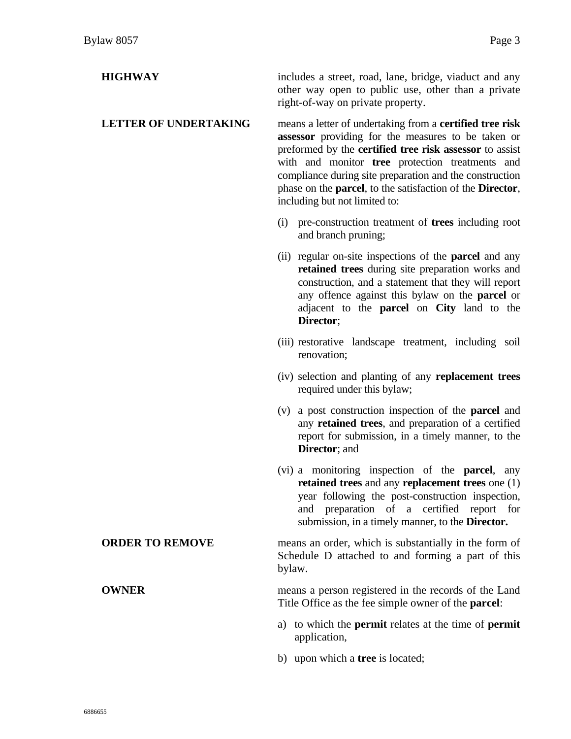| <b>HIGHWAY</b>               | includes a street, road, lane, bridge, viaduct and any<br>other way open to public use, other than a private<br>right-of-way on private property.                                                                                                                                                                                                                                                            |
|------------------------------|--------------------------------------------------------------------------------------------------------------------------------------------------------------------------------------------------------------------------------------------------------------------------------------------------------------------------------------------------------------------------------------------------------------|
| <b>LETTER OF UNDERTAKING</b> | means a letter of undertaking from a <b>certified tree risk</b><br>assessor providing for the measures to be taken or<br>preformed by the certified tree risk assessor to assist<br>with and monitor tree protection treatments and<br>compliance during site preparation and the construction<br>phase on the <b>parcel</b> , to the satisfaction of the <b>Director</b> ,<br>including but not limited to: |
|                              | (i) pre-construction treatment of <b>trees</b> including root<br>and branch pruning;                                                                                                                                                                                                                                                                                                                         |
|                              | (ii) regular on-site inspections of the <b>parcel</b> and any<br>retained trees during site preparation works and<br>construction, and a statement that they will report<br>any offence against this bylaw on the <b>parcel</b> or<br>adjacent to the <b>parcel</b> on City land to the<br>Director;                                                                                                         |
|                              | (iii) restorative landscape treatment, including soil<br>renovation;                                                                                                                                                                                                                                                                                                                                         |
|                              | (iv) selection and planting of any replacement trees<br>required under this bylaw;                                                                                                                                                                                                                                                                                                                           |
|                              | a post construction inspection of the <b>parcel</b> and<br>(v)<br>any retained trees, and preparation of a certified<br>report for submission, in a timely manner, to the<br>Director; and                                                                                                                                                                                                                   |
|                              | (vi) a monitoring inspection of the <b>parcel</b> , any<br>retained trees and any replacement trees one (1)<br>year following the post-construction inspection,<br>preparation of a certified report for<br>and<br>submission, in a timely manner, to the <b>Director.</b>                                                                                                                                   |
| <b>ORDER TO REMOVE</b>       | means an order, which is substantially in the form of<br>Schedule D attached to and forming a part of this<br>bylaw.                                                                                                                                                                                                                                                                                         |
| <b>OWNER</b>                 | means a person registered in the records of the Land<br>Title Office as the fee simple owner of the <b>parcel</b> :                                                                                                                                                                                                                                                                                          |
|                              | a) to which the <b>permit</b> relates at the time of <b>permit</b><br>application,                                                                                                                                                                                                                                                                                                                           |

b) upon which a **tree** is located;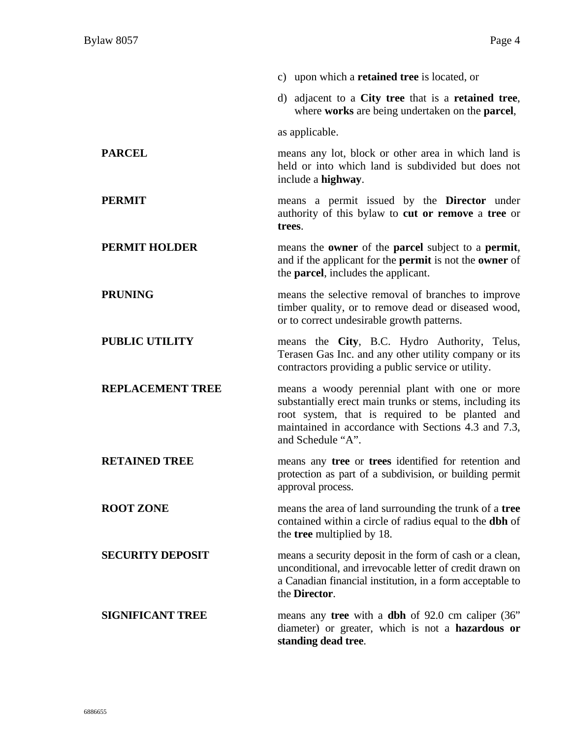|                         | c) upon which a <b>retained tree</b> is located, or                                                                                                                                                                                      |
|-------------------------|------------------------------------------------------------------------------------------------------------------------------------------------------------------------------------------------------------------------------------------|
|                         | d) adjacent to a City tree that is a retained tree,<br>where works are being undertaken on the parcel,                                                                                                                                   |
|                         | as applicable.                                                                                                                                                                                                                           |
| <b>PARCEL</b>           | means any lot, block or other area in which land is<br>held or into which land is subdivided but does not<br>include a highway.                                                                                                          |
| <b>PERMIT</b>           | means a permit issued by the <b>Director</b> under<br>authority of this bylaw to cut or remove a tree or<br>trees.                                                                                                                       |
| <b>PERMIT HOLDER</b>    | means the <b>owner</b> of the <b>parcel</b> subject to a <b>permit</b> ,<br>and if the applicant for the <b>permit</b> is not the <b>owner</b> of<br>the <b>parcel</b> , includes the applicant.                                         |
| <b>PRUNING</b>          | means the selective removal of branches to improve<br>timber quality, or to remove dead or diseased wood,<br>or to correct undesirable growth patterns.                                                                                  |
| <b>PUBLIC UTILITY</b>   | means the City, B.C. Hydro Authority, Telus,<br>Terasen Gas Inc. and any other utility company or its<br>contractors providing a public service or utility.                                                                              |
| <b>REPLACEMENT TREE</b> | means a woody perennial plant with one or more<br>substantially erect main trunks or stems, including its<br>root system, that is required to be planted and<br>maintained in accordance with Sections 4.3 and 7.3,<br>and Schedule "A". |
| <b>RETAINED TREE</b>    | means any tree or trees identified for retention and<br>protection as part of a subdivision, or building permit<br>approval process.                                                                                                     |
| <b>ROOT ZONE</b>        | means the area of land surrounding the trunk of a tree<br>contained within a circle of radius equal to the <b>dbh</b> of<br>the <b>tree</b> multiplied by 18.                                                                            |
| <b>SECURITY DEPOSIT</b> | means a security deposit in the form of cash or a clean,<br>unconditional, and irrevocable letter of credit drawn on<br>a Canadian financial institution, in a form acceptable to<br>the Director.                                       |
| <b>SIGNIFICANT TREE</b> | means any tree with a dbh of 92.0 cm caliper (36"<br>diameter) or greater, which is not a hazardous or<br>standing dead tree.                                                                                                            |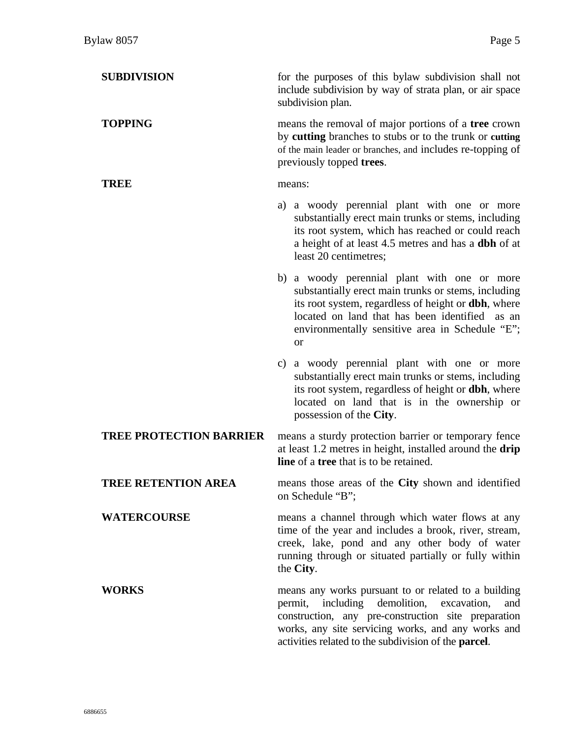| <b>SUBDIVISION</b>             | for the purposes of this bylaw subdivision shall not<br>include subdivision by way of strata plan, or air space<br>subdivision plan.                                                                                                                                                    |
|--------------------------------|-----------------------------------------------------------------------------------------------------------------------------------------------------------------------------------------------------------------------------------------------------------------------------------------|
| <b>TOPPING</b>                 | means the removal of major portions of a tree crown<br>by cutting branches to stubs or to the trunk or cutting<br>of the main leader or branches, and includes re-topping of<br>previously topped trees.                                                                                |
| TREE                           | means:                                                                                                                                                                                                                                                                                  |
|                                | a) a woody perennial plant with one or more<br>substantially erect main trunks or stems, including<br>its root system, which has reached or could reach<br>a height of at least 4.5 metres and has a dbh of at<br>least 20 centimetres;                                                 |
|                                | b) a woody perennial plant with one or more<br>substantially erect main trunks or stems, including<br>its root system, regardless of height or <b>dbh</b> , where<br>located on land that has been identified as an<br>environmentally sensitive area in Schedule "E";<br><sub>or</sub> |
|                                | c) a woody perennial plant with one or more<br>substantially erect main trunks or stems, including<br>its root system, regardless of height or <b>dbh</b> , where<br>located on land that is in the ownership or<br>possession of the City.                                             |
| <b>TREE PROTECTION BARRIER</b> | means a sturdy protection barrier or temporary fence<br>at least 1.2 metres in height, installed around the drip<br><b>line</b> of a <b>tree</b> that is to be retained.                                                                                                                |
| <b>TREE RETENTION AREA</b>     | means those areas of the City shown and identified<br>on Schedule "B";                                                                                                                                                                                                                  |
| <b>WATERCOURSE</b>             | means a channel through which water flows at any<br>time of the year and includes a brook, river, stream,<br>creek, lake, pond and any other body of water<br>running through or situated partially or fully within<br>the City.                                                        |
| <b>WORKS</b>                   | means any works pursuant to or related to a building<br>permit, including demolition, excavation,<br>and<br>construction, any pre-construction site preparation<br>works, any site servicing works, and any works and<br>activities related to the subdivision of the parcel.           |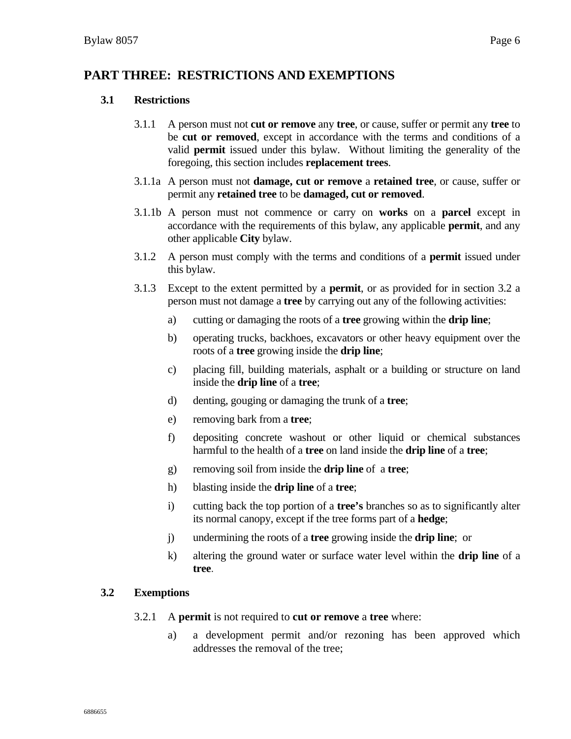### **PART THREE: RESTRICTIONS AND EXEMPTIONS**

#### **3.1 Restrictions**

- 3.1.1 A person must not **cut or remove** any **tree**, or cause, suffer or permit any **tree** to be **cut or removed**, except in accordance with the terms and conditions of a valid **permit** issued under this bylaw. Without limiting the generality of the foregoing, this section includes **replacement trees**.
- 3.1.1a A person must not **damage, cut or remove** a **retained tree**, or cause, suffer or permit any **retained tree** to be **damaged, cut or removed**.
- 3.1.1b A person must not commence or carry on **works** on a **parcel** except in accordance with the requirements of this bylaw, any applicable **permit**, and any other applicable **City** bylaw.
- 3.1.2 A person must comply with the terms and conditions of a **permit** issued under this bylaw.
- 3.1.3 Except to the extent permitted by a **permit**, or as provided for in section 3.2 a person must not damage a **tree** by carrying out any of the following activities:
	- a) cutting or damaging the roots of a **tree** growing within the **drip line**;
	- b) operating trucks, backhoes, excavators or other heavy equipment over the roots of a **tree** growing inside the **drip line**;
	- c) placing fill, building materials, asphalt or a building or structure on land inside the **drip line** of a **tree**;
	- d) denting, gouging or damaging the trunk of a **tree**;
	- e) removing bark from a **tree**;
	- f) depositing concrete washout or other liquid or chemical substances harmful to the health of a **tree** on land inside the **drip line** of a **tree**;
	- g) removing soil from inside the **drip line** of a **tree**;
	- h) blasting inside the **drip line** of a **tree**;
	- i) cutting back the top portion of a **tree's** branches so as to significantly alter its normal canopy, except if the tree forms part of a **hedge**;
	- j) undermining the roots of a **tree** growing inside the **drip line**; or
	- k) altering the ground water or surface water level within the **drip line** of a **tree**.

#### **3.2 Exemptions**

- 3.2.1 A **permit** is not required to **cut or remove** a **tree** where:
	- a) a development permit and/or rezoning has been approved which addresses the removal of the tree;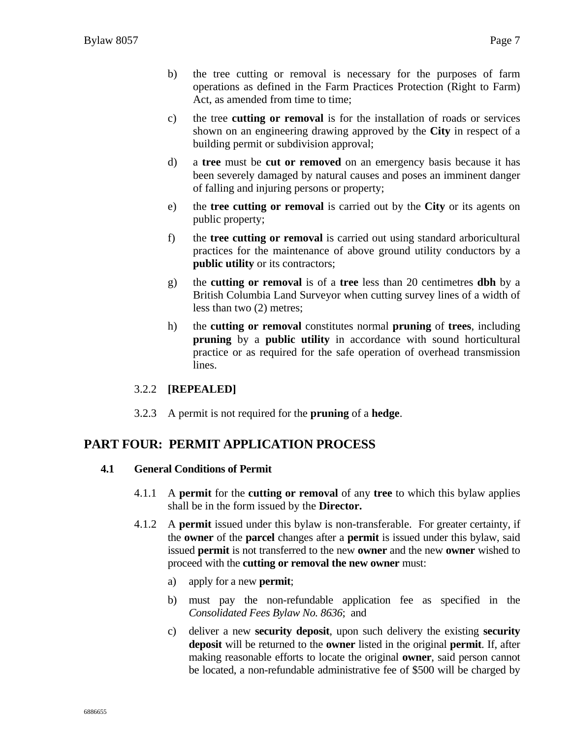- b) the tree cutting or removal is necessary for the purposes of farm operations as defined in the Farm Practices Protection (Right to Farm) Act, as amended from time to time;
- c) the tree **cutting or removal** is for the installation of roads or services shown on an engineering drawing approved by the **City** in respect of a building permit or subdivision approval;
- d) a **tree** must be **cut or removed** on an emergency basis because it has been severely damaged by natural causes and poses an imminent danger of falling and injuring persons or property;
- e) the **tree cutting or removal** is carried out by the **City** or its agents on public property;
- f) the **tree cutting or removal** is carried out using standard arboricultural practices for the maintenance of above ground utility conductors by a **public utility** or its contractors;
- g) the **cutting or removal** is of a **tree** less than 20 centimetres **dbh** by a British Columbia Land Surveyor when cutting survey lines of a width of less than two (2) metres;
- h) the **cutting or removal** constitutes normal **pruning** of **trees**, including **pruning** by a **public utility** in accordance with sound horticultural practice or as required for the safe operation of overhead transmission lines.

#### 3.2.2 **[REPEALED]**

3.2.3 A permit is not required for the **pruning** of a **hedge**.

### **PART FOUR: PERMIT APPLICATION PROCESS**

#### **4.1 General Conditions of Permit**

- 4.1.1 A **permit** for the **cutting or removal** of any **tree** to which this bylaw applies shall be in the form issued by the **Director.**
- 4.1.2 A **permit** issued under this bylaw is non-transferable. For greater certainty, if the **owner** of the **parcel** changes after a **permit** is issued under this bylaw, said issued **permit** is not transferred to the new **owner** and the new **owner** wished to proceed with the **cutting or removal the new owner** must:
	- a) apply for a new **permit**;
	- b) must pay the non-refundable application fee as specified in the *Consolidated Fees Bylaw No. 8636*; and
	- c) deliver a new **security deposit**, upon such delivery the existing **security deposit** will be returned to the **owner** listed in the original **permit**. If, after making reasonable efforts to locate the original **owner**, said person cannot be located, a non-refundable administrative fee of \$500 will be charged by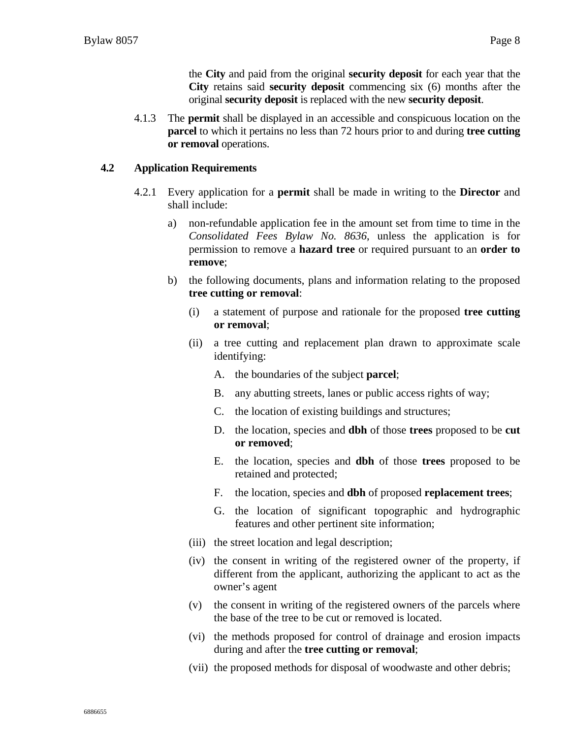the **City** and paid from the original **security deposit** for each year that the **City** retains said **security deposit** commencing six (6) months after the original **security deposit** is replaced with the new **security deposit**.

4.1.3 The **permit** shall be displayed in an accessible and conspicuous location on the **parcel** to which it pertains no less than 72 hours prior to and during **tree cutting or removal** operations.

#### **4.2 Application Requirements**

- 4.2.1 Every application for a **permit** shall be made in writing to the **Director** and shall include:
	- a) non-refundable application fee in the amount set from time to time in the *Consolidated Fees Bylaw No. 8636*, unless the application is for permission to remove a **hazard tree** or required pursuant to an **order to remove**;
	- b) the following documents, plans and information relating to the proposed **tree cutting or removal**:
		- (i) a statement of purpose and rationale for the proposed **tree cutting or removal**;
		- (ii) a tree cutting and replacement plan drawn to approximate scale identifying:
			- A. the boundaries of the subject **parcel**;
			- B. any abutting streets, lanes or public access rights of way;
			- C. the location of existing buildings and structures;
			- D. the location, species and **dbh** of those **trees** proposed to be **cut or removed**;
			- E. the location, species and **dbh** of those **trees** proposed to be retained and protected;
			- F. the location, species and **dbh** of proposed **replacement trees**;
			- G. the location of significant topographic and hydrographic features and other pertinent site information;
		- (iii) the street location and legal description;
		- (iv) the consent in writing of the registered owner of the property, if different from the applicant, authorizing the applicant to act as the owner's agent
		- (v) the consent in writing of the registered owners of the parcels where the base of the tree to be cut or removed is located.
		- (vi) the methods proposed for control of drainage and erosion impacts during and after the **tree cutting or removal**;
		- (vii) the proposed methods for disposal of woodwaste and other debris;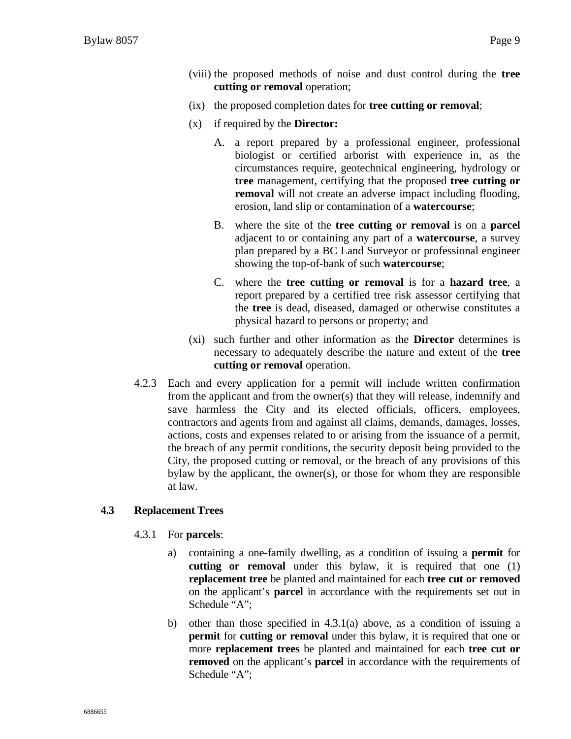- (viii) the proposed methods of noise and dust control during the **tree cutting or removal** operation;
- (ix) the proposed completion dates for **tree cutting or removal**;
- (x) if required by the **Director:**
	- A. a report prepared by a professional engineer, professional biologist or certified arborist with experience in, as the circumstances require, geotechnical engineering, hydrology or **tree** management, certifying that the proposed **tree cutting or removal** will not create an adverse impact including flooding, erosion, land slip or contamination of a **watercourse**;
	- B. where the site of the **tree cutting or removal** is on a **parcel** adjacent to or containing any part of a **watercourse**, a survey plan prepared by a BC Land Surveyor or professional engineer showing the top-of-bank of such **watercourse**;
	- C. where the **tree cutting or removal** is for a **hazard tree**, a report prepared by a certified tree risk assessor certifying that the **tree** is dead, diseased, damaged or otherwise constitutes a physical hazard to persons or property; and
- (xi) such further and other information as the **Director** determines is necessary to adequately describe the nature and extent of the **tree cutting or removal** operation.
- 4.2.3 Each and every application for a permit will include written confirmation from the applicant and from the owner(s) that they will release, indemnify and save harmless the City and its elected officials, officers, employees, contractors and agents from and against all claims, demands, damages, losses, actions, costs and expenses related to or arising from the issuance of a permit, the breach of any permit conditions, the security deposit being provided to the City, the proposed cutting or removal, or the breach of any provisions of this bylaw by the applicant, the owner(s), or those for whom they are responsible at law.

#### **4.3 Replacement Trees**

- 4.3.1 For **parcels**:
	- a) containing a one-family dwelling, as a condition of issuing a **permit** for **cutting or removal** under this bylaw, it is required that one (1) **replacement tree** be planted and maintained for each **tree cut or removed** on the applicant's **parcel** in accordance with the requirements set out in Schedule "A";
	- b) other than those specified in 4.3.1(a) above, as a condition of issuing a **permit** for **cutting or removal** under this bylaw, it is required that one or more **replacement trees** be planted and maintained for each **tree cut or removed** on the applicant's **parcel** in accordance with the requirements of Schedule "A";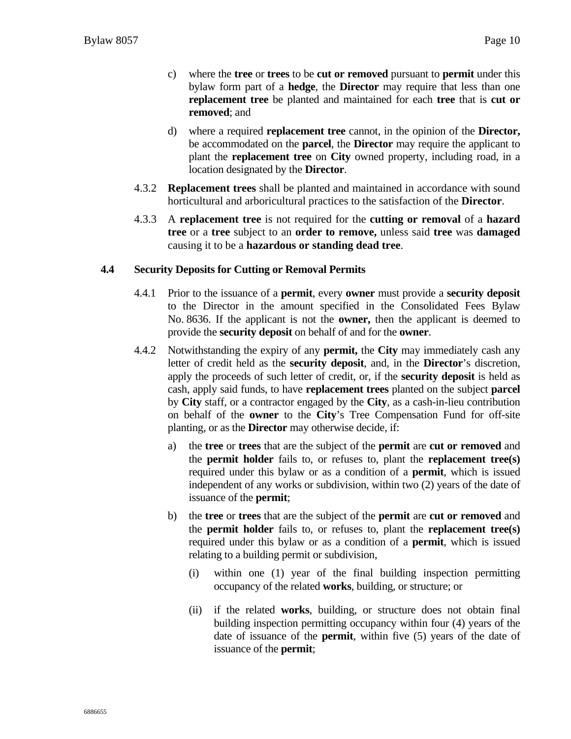- c) where the **tree** or **trees** to be **cut or removed** pursuant to **permit** under this bylaw form part of a **hedge**, the **Director** may require that less than one **replacement tree** be planted and maintained for each **tree** that is **cut or removed**; and
- d) where a required **replacement tree** cannot, in the opinion of the **Director,** be accommodated on the **parcel**, the **Director** may require the applicant to plant the **replacement tree** on **City** owned property, including road, in a location designated by the **Director**.
- 4.3.2 **Replacement trees** shall be planted and maintained in accordance with sound horticultural and arboricultural practices to the satisfaction of the **Director**.
- 4.3.3 A **replacement tree** is not required for the **cutting or removal** of a **hazard tree** or a **tree** subject to an **order to remove,** unless said **tree** was **damaged**  causing it to be a **hazardous or standing dead tree**.

#### **4.4 Security Deposits for Cutting or Removal Permits**

- 4.4.1 Prior to the issuance of a **permit**, every **owner** must provide a **security deposit** to the Director in the amount specified in the Consolidated Fees Bylaw No. 8636. If the applicant is not the **owner,** then the applicant is deemed to provide the **security deposit** on behalf of and for the **owner**.
- 4.4.2 Notwithstanding the expiry of any **permit,** the **City** may immediately cash any letter of credit held as the **security deposit**, and, in the **Director**'s discretion, apply the proceeds of such letter of credit, or, if the **security deposit** is held as cash, apply said funds, to have **replacement trees** planted on the subject **parcel**  by **City** staff, or a contractor engaged by the **City**, as a cash-in-lieu contribution on behalf of the **owner** to the **City**'s Tree Compensation Fund for off-site planting, or as the **Director** may otherwise decide, if:
	- a) the **tree** or **trees** that are the subject of the **permit** are **cut or removed** and the **permit holder** fails to, or refuses to, plant the **replacement tree(s)**  required under this bylaw or as a condition of a **permit**, which is issued independent of any works or subdivision, within two (2) years of the date of issuance of the **permit**;
	- b) the **tree** or **trees** that are the subject of the **permit** are **cut or removed** and the **permit holder** fails to, or refuses to, plant the **replacement tree(s)**  required under this bylaw or as a condition of a **permit**, which is issued relating to a building permit or subdivision,
		- (i) within one (1) year of the final building inspection permitting occupancy of the related **works**, building, or structure; or
		- (ii) if the related **works**, building, or structure does not obtain final building inspection permitting occupancy within four (4) years of the date of issuance of the **permit**, within five (5) years of the date of issuance of the **permit**;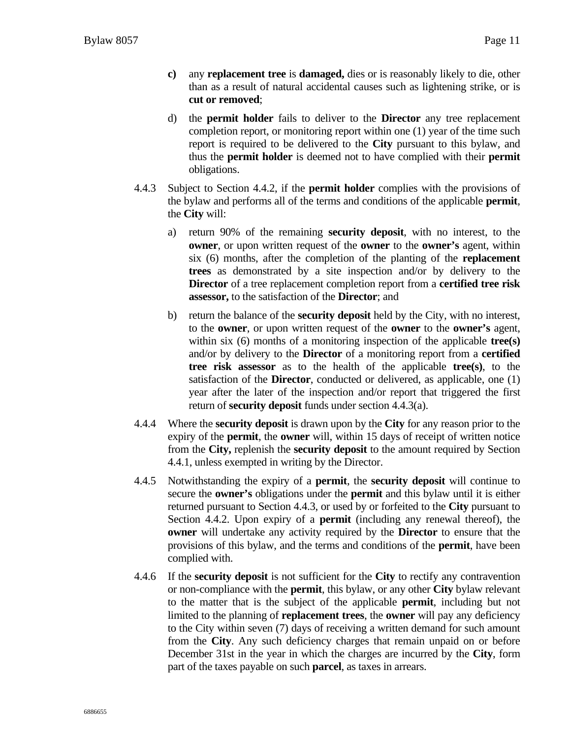- **c)** any **replacement tree** is **damaged,** dies or is reasonably likely to die, other than as a result of natural accidental causes such as lightening strike, or is **cut or removed**;
- d) the **permit holder** fails to deliver to the **Director** any tree replacement completion report, or monitoring report within one (1) year of the time such report is required to be delivered to the **City** pursuant to this bylaw, and thus the **permit holder** is deemed not to have complied with their **permit**  obligations.
- 4.4.3 Subject to Section 4.4.2, if the **permit holder** complies with the provisions of the bylaw and performs all of the terms and conditions of the applicable **permit**, the **City** will:
	- a) return 90% of the remaining **security deposit**, with no interest, to the **owner**, or upon written request of the **owner** to the **owner's** agent, within six (6) months, after the completion of the planting of the **replacement trees** as demonstrated by a site inspection and/or by delivery to the **Director** of a tree replacement completion report from a **certified tree risk assessor,** to the satisfaction of the **Director**; and
	- b) return the balance of the **security deposit** held by the City, with no interest, to the **owner**, or upon written request of the **owner** to the **owner's** agent, within six (6) months of a monitoring inspection of the applicable **tree(s)** and/or by delivery to the **Director** of a monitoring report from a **certified tree risk assessor** as to the health of the applicable **tree(s)**, to the satisfaction of the **Director**, conducted or delivered, as applicable, one (1) year after the later of the inspection and/or report that triggered the first return of **security deposit** funds under section 4.4.3(a).
- 4.4.4 Where the **security deposit** is drawn upon by the **City** for any reason prior to the expiry of the **permit**, the **owner** will, within 15 days of receipt of written notice from the **City,** replenish the **security deposit** to the amount required by Section 4.4.1, unless exempted in writing by the Director.
- 4.4.5 Notwithstanding the expiry of a **permit**, the **security deposit** will continue to secure the **owner's** obligations under the **permit** and this bylaw until it is either returned pursuant to Section 4.4.3, or used by or forfeited to the **City** pursuant to Section 4.4.2. Upon expiry of a **permit** (including any renewal thereof), the **owner** will undertake any activity required by the **Director** to ensure that the provisions of this bylaw, and the terms and conditions of the **permit**, have been complied with.
- 4.4.6 If the **security deposit** is not sufficient for the **City** to rectify any contravention or non-compliance with the **permit**, this bylaw, or any other **City** bylaw relevant to the matter that is the subject of the applicable **permit**, including but not limited to the planning of **replacement trees**, the **owner** will pay any deficiency to the City within seven (7) days of receiving a written demand for such amount from the **City**. Any such deficiency charges that remain unpaid on or before December 31st in the year in which the charges are incurred by the **City**, form part of the taxes payable on such **parcel**, as taxes in arrears.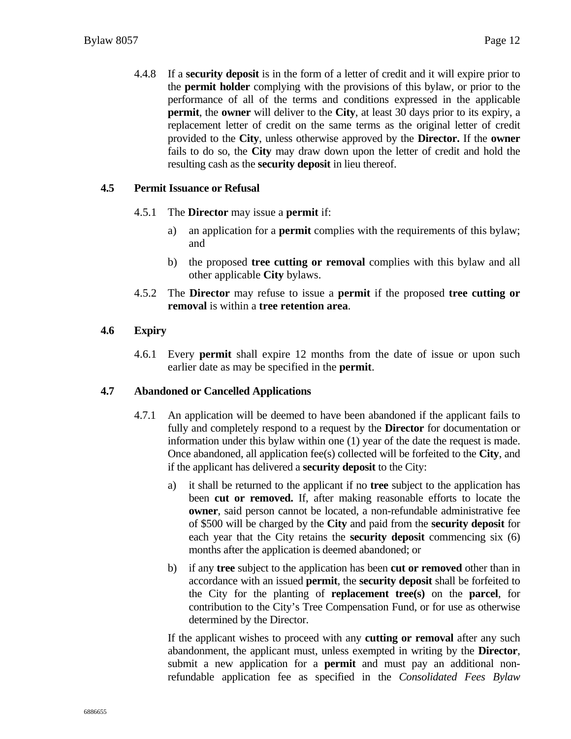4.4.8 If a **security deposit** is in the form of a letter of credit and it will expire prior to the **permit holder** complying with the provisions of this bylaw, or prior to the performance of all of the terms and conditions expressed in the applicable **permit**, the **owner** will deliver to the **City**, at least 30 days prior to its expiry, a replacement letter of credit on the same terms as the original letter of credit provided to the **City**, unless otherwise approved by the **Director.** If the **owner** fails to do so, the **City** may draw down upon the letter of credit and hold the resulting cash as the **security deposit** in lieu thereof.

#### **4.5 Permit Issuance or Refusal**

- 4.5.1 The **Director** may issue a **permit** if:
	- a) an application for a **permit** complies with the requirements of this bylaw; and
	- b) the proposed **tree cutting or removal** complies with this bylaw and all other applicable **City** bylaws.
- 4.5.2 The **Director** may refuse to issue a **permit** if the proposed **tree cutting or removal** is within a **tree retention area**.

#### **4.6 Expiry**

4.6.1 Every **permit** shall expire 12 months from the date of issue or upon such earlier date as may be specified in the **permit**.

#### **4.7 Abandoned or Cancelled Applications**

- 4.7.1 An application will be deemed to have been abandoned if the applicant fails to fully and completely respond to a request by the **Director** for documentation or information under this bylaw within one (1) year of the date the request is made. Once abandoned, all application fee(s) collected will be forfeited to the **City**, and if the applicant has delivered a **security deposit** to the City:
	- a) it shall be returned to the applicant if no **tree** subject to the application has been **cut or removed.** If, after making reasonable efforts to locate the **owner**, said person cannot be located, a non-refundable administrative fee of \$500 will be charged by the **City** and paid from the **security deposit** for each year that the City retains the **security deposit** commencing six (6) months after the application is deemed abandoned; or
	- b) if any **tree** subject to the application has been **cut or removed** other than in accordance with an issued **permit**, the **security deposit** shall be forfeited to the City for the planting of **replacement tree(s)** on the **parcel**, for contribution to the City's Tree Compensation Fund, or for use as otherwise determined by the Director.

If the applicant wishes to proceed with any **cutting or removal** after any such abandonment, the applicant must, unless exempted in writing by the **Director**, submit a new application for a **permit** and must pay an additional nonrefundable application fee as specified in the *Consolidated Fees Bylaw*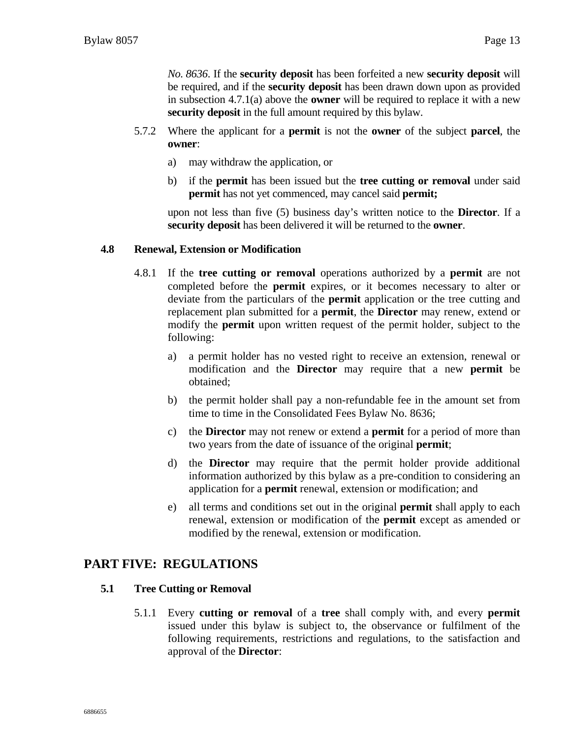*No. 8636*. If the **security deposit** has been forfeited a new **security deposit** will be required, and if the **security deposit** has been drawn down upon as provided in subsection 4.7.1(a) above the **owner** will be required to replace it with a new **security deposit** in the full amount required by this bylaw.

- 5.7.2 Where the applicant for a **permit** is not the **owner** of the subject **parcel**, the **owner**:
	- a) may withdraw the application, or
	- b) if the **permit** has been issued but the **tree cutting or removal** under said **permit** has not yet commenced, may cancel said **permit;**

upon not less than five (5) business day's written notice to the **Director**. If a **security deposit** has been delivered it will be returned to the **owner**.

#### **4.8 Renewal, Extension or Modification**

- 4.8.1 If the **tree cutting or removal** operations authorized by a **permit** are not completed before the **permit** expires, or it becomes necessary to alter or deviate from the particulars of the **permit** application or the tree cutting and replacement plan submitted for a **permit**, the **Director** may renew, extend or modify the **permit** upon written request of the permit holder, subject to the following:
	- a) a permit holder has no vested right to receive an extension, renewal or modification and the **Director** may require that a new **permit** be obtained;
	- b) the permit holder shall pay a non-refundable fee in the amount set from time to time in the Consolidated Fees Bylaw No. 8636;
	- c) the **Director** may not renew or extend a **permit** for a period of more than two years from the date of issuance of the original **permit**;
	- d) the **Director** may require that the permit holder provide additional information authorized by this bylaw as a pre-condition to considering an application for a **permit** renewal, extension or modification; and
	- e) all terms and conditions set out in the original **permit** shall apply to each renewal, extension or modification of the **permit** except as amended or modified by the renewal, extension or modification.

#### **PART FIVE: REGULATIONS**

#### **5.1 Tree Cutting or Removal**

5.1.1 Every **cutting or removal** of a **tree** shall comply with, and every **permit** issued under this bylaw is subject to, the observance or fulfilment of the following requirements, restrictions and regulations, to the satisfaction and approval of the **Director**: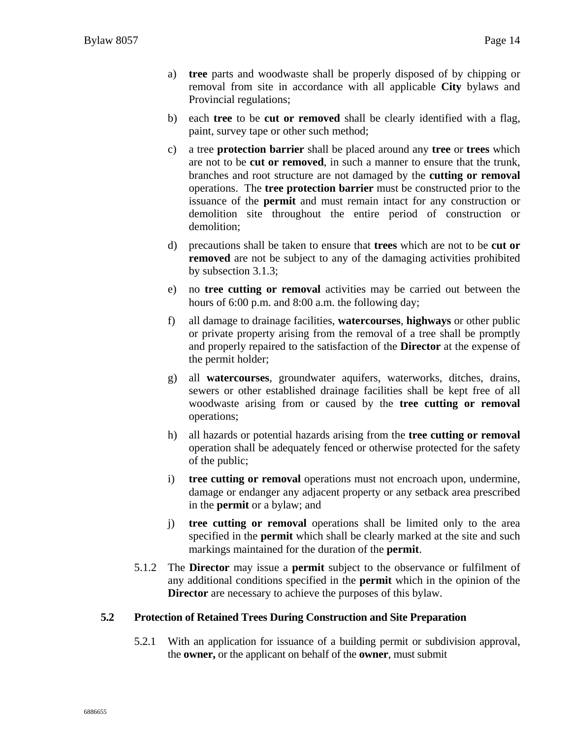- a) **tree** parts and woodwaste shall be properly disposed of by chipping or removal from site in accordance with all applicable **City** bylaws and Provincial regulations;
- b) each **tree** to be **cut or removed** shall be clearly identified with a flag, paint, survey tape or other such method;
- c) a tree **protection barrier** shall be placed around any **tree** or **trees** which are not to be **cut or removed**, in such a manner to ensure that the trunk, branches and root structure are not damaged by the **cutting or removal** operations. The **tree protection barrier** must be constructed prior to the issuance of the **permit** and must remain intact for any construction or demolition site throughout the entire period of construction or demolition;
- d) precautions shall be taken to ensure that **trees** which are not to be **cut or removed** are not be subject to any of the damaging activities prohibited by subsection 3.1.3;
- e) no **tree cutting or removal** activities may be carried out between the hours of 6:00 p.m. and 8:00 a.m. the following day;
- f) all damage to drainage facilities, **watercourses**, **highways** or other public or private property arising from the removal of a tree shall be promptly and properly repaired to the satisfaction of the **Director** at the expense of the permit holder;
- g) all **watercourses**, groundwater aquifers, waterworks, ditches, drains, sewers or other established drainage facilities shall be kept free of all woodwaste arising from or caused by the **tree cutting or removal** operations;
- h) all hazards or potential hazards arising from the **tree cutting or removal** operation shall be adequately fenced or otherwise protected for the safety of the public;
- i) **tree cutting or removal** operations must not encroach upon, undermine, damage or endanger any adjacent property or any setback area prescribed in the **permit** or a bylaw; and
- j) **tree cutting or removal** operations shall be limited only to the area specified in the **permit** which shall be clearly marked at the site and such markings maintained for the duration of the **permit**.
- 5.1.2 The **Director** may issue a **permit** subject to the observance or fulfilment of any additional conditions specified in the **permit** which in the opinion of the **Director** are necessary to achieve the purposes of this bylaw.

#### **5.2 Protection of Retained Trees During Construction and Site Preparation**

5.2.1 With an application for issuance of a building permit or subdivision approval, the **owner,** or the applicant on behalf of the **owner**, must submit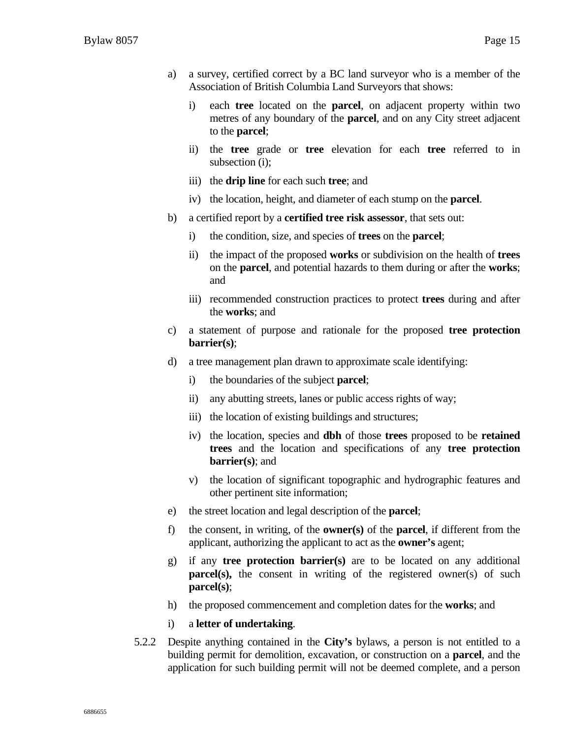- a) a survey, certified correct by a BC land surveyor who is a member of the Association of British Columbia Land Surveyors that shows:
	- i) each **tree** located on the **parcel**, on adjacent property within two metres of any boundary of the **parcel**, and on any City street adjacent to the **parcel**;
	- ii) the **tree** grade or **tree** elevation for each **tree** referred to in subsection (i);
	- iii) the **drip line** for each such **tree**; and
	- iv) the location, height, and diameter of each stump on the **parcel**.
- b) a certified report by a **certified tree risk assessor**, that sets out:
	- i) the condition, size, and species of **trees** on the **parcel**;
	- ii) the impact of the proposed **works** or subdivision on the health of **trees** on the **parcel**, and potential hazards to them during or after the **works**; and
	- iii) recommended construction practices to protect **trees** during and after the **works**; and
- c) a statement of purpose and rationale for the proposed **tree protection barrier(s)**;
- d) a tree management plan drawn to approximate scale identifying:
	- i) the boundaries of the subject **parcel**;
	- ii) any abutting streets, lanes or public access rights of way;
	- iii) the location of existing buildings and structures;
	- iv) the location, species and **dbh** of those **trees** proposed to be **retained trees** and the location and specifications of any **tree protection barrier(s)**; and
	- v) the location of significant topographic and hydrographic features and other pertinent site information;
- e) the street location and legal description of the **parcel**;
- f) the consent, in writing, of the **owner(s)** of the **parcel**, if different from the applicant, authorizing the applicant to act as the **owner's** agent;
- g) if any **tree protection barrier(s)** are to be located on any additional **parcel(s),** the consent in writing of the registered owner(s) of such **parcel(s)**;
- h) the proposed commencement and completion dates for the **works**; and
- i) a **letter of undertaking**.
- 5.2.2 Despite anything contained in the **City's** bylaws, a person is not entitled to a building permit for demolition, excavation, or construction on a **parcel**, and the application for such building permit will not be deemed complete, and a person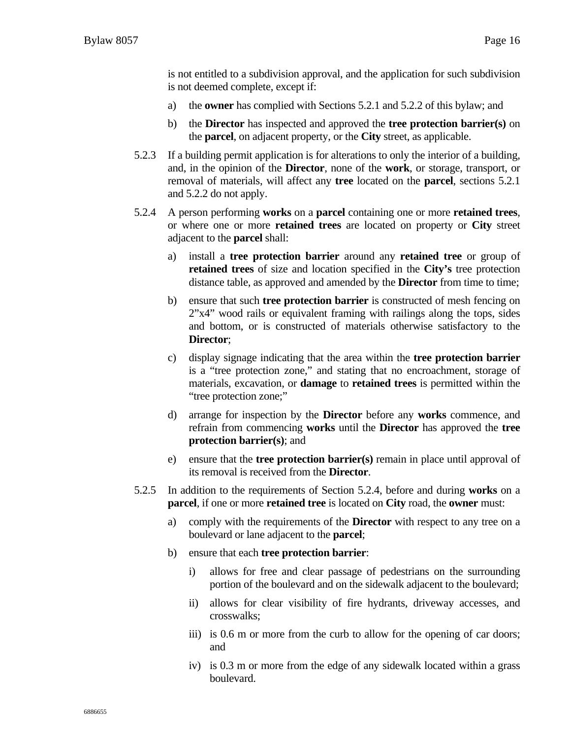is not entitled to a subdivision approval, and the application for such subdivision is not deemed complete, except if:

- a) the **owner** has complied with Sections 5.2.1 and 5.2.2 of this bylaw; and
- b) the **Director** has inspected and approved the **tree protection barrier(s)** on the **parcel**, on adjacent property, or the **City** street, as applicable.
- 5.2.3 If a building permit application is for alterations to only the interior of a building, and, in the opinion of the **Director**, none of the **work**, or storage, transport, or removal of materials, will affect any **tree** located on the **parcel**, sections 5.2.1 and 5.2.2 do not apply.
- 5.2.4 A person performing **works** on a **parcel** containing one or more **retained trees**, or where one or more **retained trees** are located on property or **City** street adjacent to the **parcel** shall:
	- a) install a **tree protection barrier** around any **retained tree** or group of **retained trees** of size and location specified in the **City's** tree protection distance table, as approved and amended by the **Director** from time to time;
	- b) ensure that such **tree protection barrier** is constructed of mesh fencing on 2"x4" wood rails or equivalent framing with railings along the tops, sides and bottom, or is constructed of materials otherwise satisfactory to the **Director**;
	- c) display signage indicating that the area within the **tree protection barrier**  is a "tree protection zone," and stating that no encroachment, storage of materials, excavation, or **damage** to **retained trees** is permitted within the "tree protection zone;"
	- d) arrange for inspection by the **Director** before any **works** commence, and refrain from commencing **works** until the **Director** has approved the **tree protection barrier(s)**; and
	- e) ensure that the **tree protection barrier(s)** remain in place until approval of its removal is received from the **Director**.
- 5.2.5 In addition to the requirements of Section 5.2.4, before and during **works** on a **parcel**, if one or more **retained tree** is located on **City** road, the **owner** must:
	- a) comply with the requirements of the **Director** with respect to any tree on a boulevard or lane adjacent to the **parcel**;
	- b) ensure that each **tree protection barrier**:
		- i) allows for free and clear passage of pedestrians on the surrounding portion of the boulevard and on the sidewalk adjacent to the boulevard;
		- ii) allows for clear visibility of fire hydrants, driveway accesses, and crosswalks;
		- iii) is 0.6 m or more from the curb to allow for the opening of car doors; and
		- iv) is 0.3 m or more from the edge of any sidewalk located within a grass boulevard.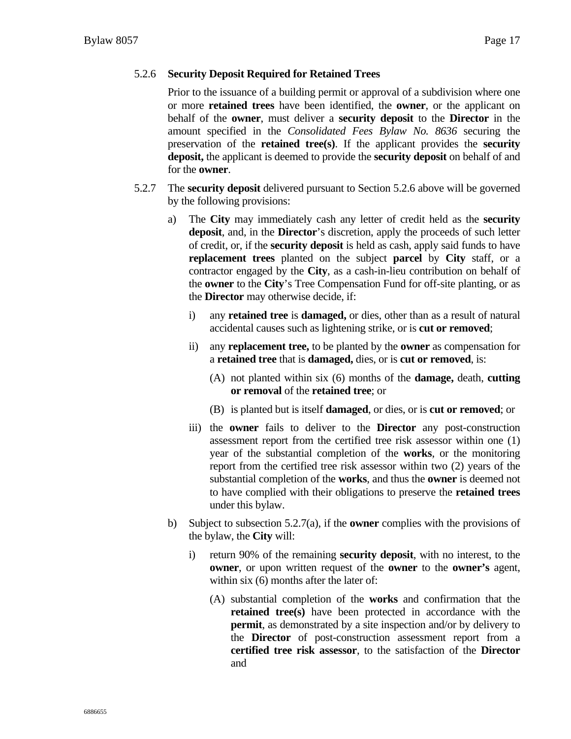#### 5.2.6 **Security Deposit Required for Retained Trees**

Prior to the issuance of a building permit or approval of a subdivision where one or more **retained trees** have been identified, the **owner**, or the applicant on behalf of the **owner**, must deliver a **security deposit** to the **Director** in the amount specified in the *Consolidated Fees Bylaw No. 8636* securing the preservation of the **retained tree(s)**. If the applicant provides the **security deposit,** the applicant is deemed to provide the **security deposit** on behalf of and for the **owner**.

- 5.2.7 The **security deposit** delivered pursuant to Section 5.2.6 above will be governed by the following provisions:
	- a) The **City** may immediately cash any letter of credit held as the **security deposit**, and, in the **Director**'s discretion, apply the proceeds of such letter of credit, or, if the **security deposit** is held as cash, apply said funds to have **replacement trees** planted on the subject **parcel** by **City** staff, or a contractor engaged by the **City**, as a cash-in-lieu contribution on behalf of the **owner** to the **City**'s Tree Compensation Fund for off-site planting, or as the **Director** may otherwise decide, if:
		- i) any **retained tree** is **damaged,** or dies, other than as a result of natural accidental causes such as lightening strike, or is **cut or removed**;
		- ii) any **replacement tree,** to be planted by the **owner** as compensation for a **retained tree** that is **damaged,** dies, or is **cut or removed**, is:
			- (A) not planted within six (6) months of the **damage,** death, **cutting or removal** of the **retained tree**; or
			- (B) is planted but is itself **damaged**, or dies, or is **cut or removed**; or
		- iii) the **owner** fails to deliver to the **Director** any post-construction assessment report from the certified tree risk assessor within one (1) year of the substantial completion of the **works**, or the monitoring report from the certified tree risk assessor within two (2) years of the substantial completion of the **works**, and thus the **owner** is deemed not to have complied with their obligations to preserve the **retained trees**  under this bylaw.
	- b) Subject to subsection 5.2.7(a), if the **owner** complies with the provisions of the bylaw, the **City** will:
		- i) return 90% of the remaining **security deposit**, with no interest, to the **owner**, or upon written request of the **owner** to the **owner's** agent, within six (6) months after the later of:
			- (A) substantial completion of the **works** and confirmation that the **retained tree(s)** have been protected in accordance with the **permit**, as demonstrated by a site inspection and/or by delivery to the **Director** of post-construction assessment report from a **certified tree risk assessor**, to the satisfaction of the **Director** and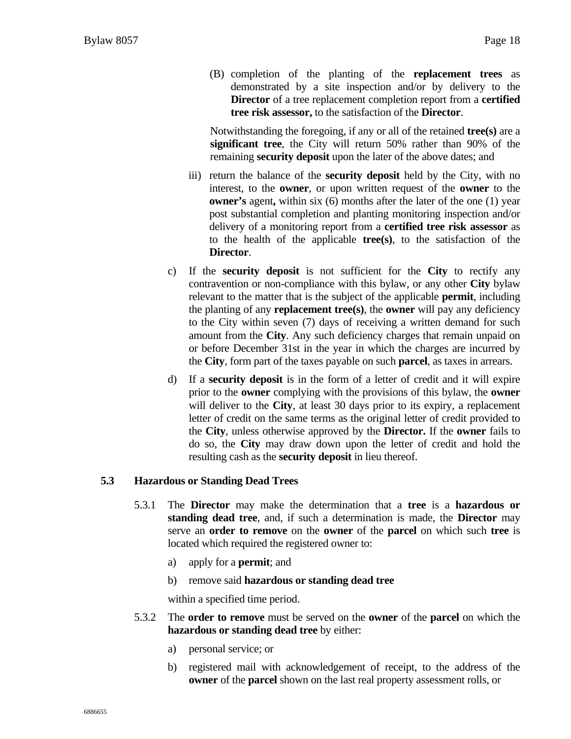(B) completion of the planting of the **replacement trees** as demonstrated by a site inspection and/or by delivery to the **Director** of a tree replacement completion report from a **certified tree risk assessor,** to the satisfaction of the **Director**.

Notwithstanding the foregoing, if any or all of the retained **tree(s)** are a **significant tree**, the City will return 50% rather than 90% of the remaining **security deposit** upon the later of the above dates; and

- iii) return the balance of the **security deposit** held by the City, with no interest, to the **owner**, or upon written request of the **owner** to the **owner's** agent, within six (6) months after the later of the one (1) year post substantial completion and planting monitoring inspection and/or delivery of a monitoring report from a **certified tree risk assessor** as to the health of the applicable **tree(s)**, to the satisfaction of the **Director**.
- c) If the **security deposit** is not sufficient for the **City** to rectify any contravention or non-compliance with this bylaw, or any other **City** bylaw relevant to the matter that is the subject of the applicable **permit**, including the planting of any **replacement tree(s)**, the **owner** will pay any deficiency to the City within seven (7) days of receiving a written demand for such amount from the **City**. Any such deficiency charges that remain unpaid on or before December 31st in the year in which the charges are incurred by the **City**, form part of the taxes payable on such **parcel**, as taxes in arrears.
- d) If a **security deposit** is in the form of a letter of credit and it will expire prior to the **owner** complying with the provisions of this bylaw, the **owner** will deliver to the **City**, at least 30 days prior to its expiry, a replacement letter of credit on the same terms as the original letter of credit provided to the **City**, unless otherwise approved by the **Director.** If the **owner** fails to do so, the **City** may draw down upon the letter of credit and hold the resulting cash as the **security deposit** in lieu thereof.

#### **5.3 Hazardous or Standing Dead Trees**

- 5.3.1 The **Director** may make the determination that a **tree** is a **hazardous or standing dead tree**, and, if such a determination is made, the **Director** may serve an **order to remove** on the **owner** of the **parcel** on which such **tree** is located which required the registered owner to:
	- a) apply for a **permit**; and
	- b) remove said **hazardous or standing dead tree**

within a specified time period.

- 5.3.2 The **order to remove** must be served on the **owner** of the **parcel** on which the **hazardous or standing dead tree** by either:
	- a) personal service; or
	- b) registered mail with acknowledgement of receipt, to the address of the **owner** of the **parcel** shown on the last real property assessment rolls, or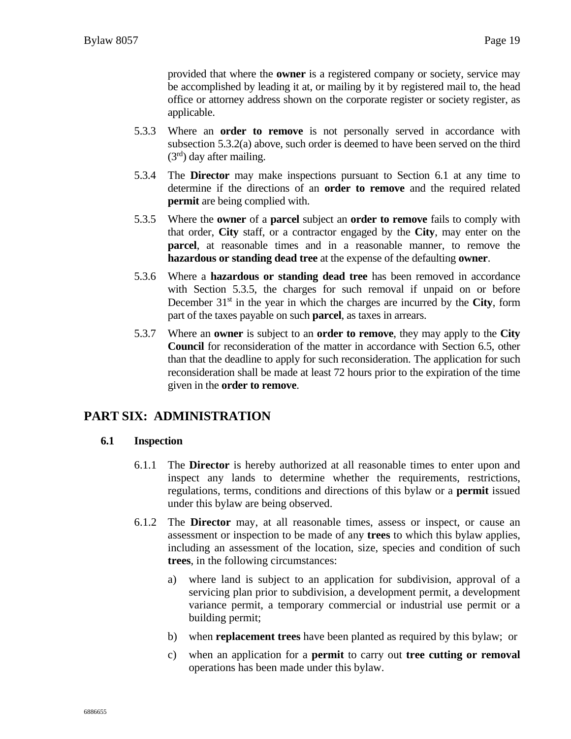provided that where the **owner** is a registered company or society, service may be accomplished by leading it at, or mailing by it by registered mail to, the head office or attorney address shown on the corporate register or society register, as applicable.

- 5.3.3 Where an **order to remove** is not personally served in accordance with subsection 5.3.2(a) above, such order is deemed to have been served on the third  $(3<sup>rd</sup>)$  day after mailing.
- 5.3.4 The **Director** may make inspections pursuant to Section 6.1 at any time to determine if the directions of an **order to remove** and the required related **permit** are being complied with.
- 5.3.5 Where the **owner** of a **parcel** subject an **order to remove** fails to comply with that order, **City** staff, or a contractor engaged by the **City**, may enter on the **parcel**, at reasonable times and in a reasonable manner, to remove the **hazardous or standing dead tree** at the expense of the defaulting **owner**.
- 5.3.6 Where a **hazardous or standing dead tree** has been removed in accordance with Section 5.3.5, the charges for such removal if unpaid on or before December  $31<sup>st</sup>$  in the year in which the charges are incurred by the **City**, form part of the taxes payable on such **parcel**, as taxes in arrears.
- 5.3.7 Where an **owner** is subject to an **order to remove**, they may apply to the **City Council** for reconsideration of the matter in accordance with Section 6.5, other than that the deadline to apply for such reconsideration. The application for such reconsideration shall be made at least 72 hours prior to the expiration of the time given in the **order to remove**.

### **PART SIX: ADMINISTRATION**

#### **6.1 Inspection**

- 6.1.1 The **Director** is hereby authorized at all reasonable times to enter upon and inspect any lands to determine whether the requirements, restrictions, regulations, terms, conditions and directions of this bylaw or a **permit** issued under this bylaw are being observed.
- 6.1.2 The **Director** may, at all reasonable times, assess or inspect, or cause an assessment or inspection to be made of any **trees** to which this bylaw applies, including an assessment of the location, size, species and condition of such **trees**, in the following circumstances:
	- a) where land is subject to an application for subdivision, approval of a servicing plan prior to subdivision, a development permit, a development variance permit, a temporary commercial or industrial use permit or a building permit;
	- b) when **replacement trees** have been planted as required by this bylaw; or
	- c) when an application for a **permit** to carry out **tree cutting or removal** operations has been made under this bylaw.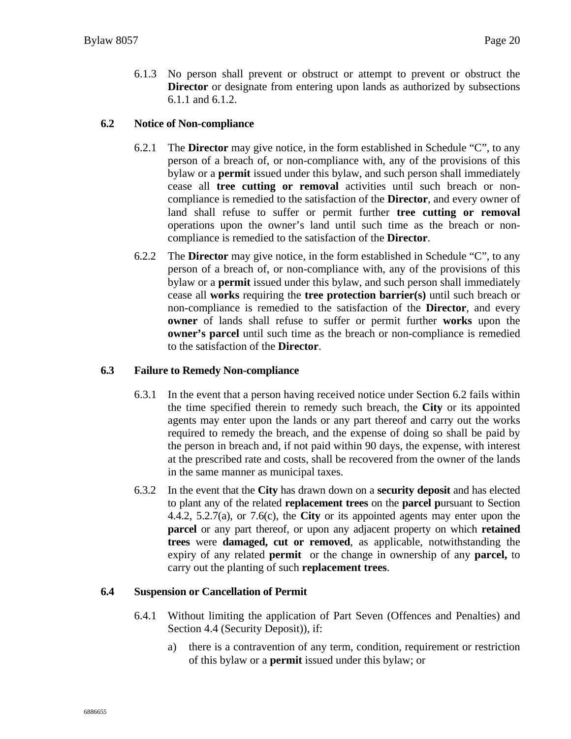6.1.3 No person shall prevent or obstruct or attempt to prevent or obstruct the **Director** or designate from entering upon lands as authorized by subsections 6.1.1 and 6.1.2.

#### **6.2 Notice of Non-compliance**

- 6.2.1 The **Director** may give notice, in the form established in Schedule "C", to any person of a breach of, or non-compliance with, any of the provisions of this bylaw or a **permit** issued under this bylaw, and such person shall immediately cease all **tree cutting or removal** activities until such breach or noncompliance is remedied to the satisfaction of the **Director**, and every owner of land shall refuse to suffer or permit further **tree cutting or removal** operations upon the owner's land until such time as the breach or noncompliance is remedied to the satisfaction of the **Director**.
- 6.2.2 The **Director** may give notice, in the form established in Schedule "C", to any person of a breach of, or non-compliance with, any of the provisions of this bylaw or a **permit** issued under this bylaw, and such person shall immediately cease all **works** requiring the **tree protection barrier(s)** until such breach or non-compliance is remedied to the satisfaction of the **Director**, and every **owner** of lands shall refuse to suffer or permit further **works** upon the **owner's parcel** until such time as the breach or non-compliance is remedied to the satisfaction of the **Director**.

#### **6.3 Failure to Remedy Non-compliance**

- 6.3.1 In the event that a person having received notice under Section 6.2 fails within the time specified therein to remedy such breach, the **City** or its appointed agents may enter upon the lands or any part thereof and carry out the works required to remedy the breach, and the expense of doing so shall be paid by the person in breach and, if not paid within 90 days, the expense, with interest at the prescribed rate and costs, shall be recovered from the owner of the lands in the same manner as municipal taxes.
- 6.3.2 In the event that the **City** has drawn down on a **security deposit** and has elected to plant any of the related **replacement trees** on the **parcel p**ursuant to Section 4.4.2, 5.2.7(a), or 7.6(c), the **City** or its appointed agents may enter upon the **parcel** or any part thereof, or upon any adjacent property on which **retained trees** were **damaged, cut or removed**, as applicable, notwithstanding the expiry of any related **permit** or the change in ownership of any **parcel,** to carry out the planting of such **replacement trees**.

#### **6.4 Suspension or Cancellation of Permit**

- 6.4.1 Without limiting the application of Part Seven (Offences and Penalties) and Section 4.4 (Security Deposit)), if:
	- a) there is a contravention of any term, condition, requirement or restriction of this bylaw or a **permit** issued under this bylaw; or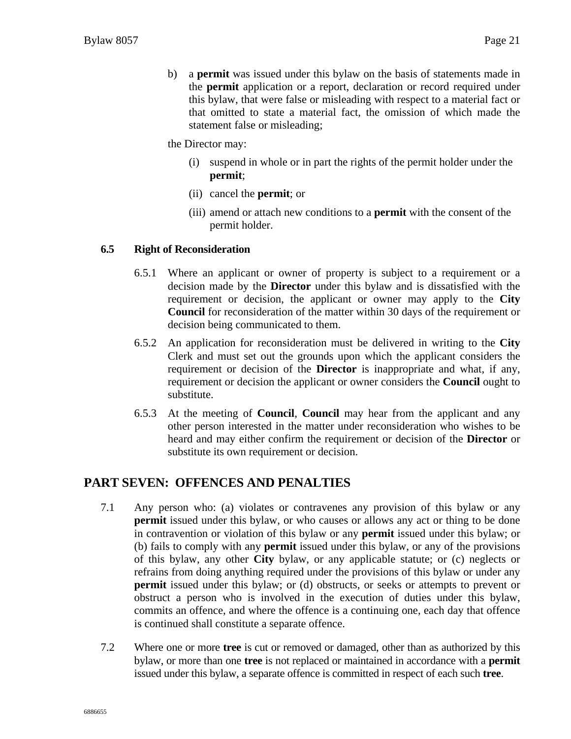b) a **permit** was issued under this bylaw on the basis of statements made in the **permit** application or a report, declaration or record required under this bylaw, that were false or misleading with respect to a material fact or that omitted to state a material fact, the omission of which made the statement false or misleading;

the Director may:

- (i) suspend in whole or in part the rights of the permit holder under the **permit**;
- (ii) cancel the **permit**; or
- (iii) amend or attach new conditions to a **permit** with the consent of the permit holder.

#### **6.5 Right of Reconsideration**

- 6.5.1 Where an applicant or owner of property is subject to a requirement or a decision made by the **Director** under this bylaw and is dissatisfied with the requirement or decision, the applicant or owner may apply to the **City Council** for reconsideration of the matter within 30 days of the requirement or decision being communicated to them.
- 6.5.2 An application for reconsideration must be delivered in writing to the **City** Clerk and must set out the grounds upon which the applicant considers the requirement or decision of the **Director** is inappropriate and what, if any, requirement or decision the applicant or owner considers the **Council** ought to substitute.
- 6.5.3 At the meeting of **Council**, **Council** may hear from the applicant and any other person interested in the matter under reconsideration who wishes to be heard and may either confirm the requirement or decision of the **Director** or substitute its own requirement or decision.

### **PART SEVEN: OFFENCES AND PENALTIES**

- 7.1 Any person who: (a) violates or contravenes any provision of this bylaw or any **permit** issued under this bylaw, or who causes or allows any act or thing to be done in contravention or violation of this bylaw or any **permit** issued under this bylaw; or (b) fails to comply with any **permit** issued under this bylaw, or any of the provisions of this bylaw, any other **City** bylaw, or any applicable statute; or (c) neglects or refrains from doing anything required under the provisions of this bylaw or under any **permit** issued under this bylaw; or (d) obstructs, or seeks or attempts to prevent or obstruct a person who is involved in the execution of duties under this bylaw, commits an offence, and where the offence is a continuing one, each day that offence is continued shall constitute a separate offence.
- 7.2 Where one or more **tree** is cut or removed or damaged, other than as authorized by this bylaw, or more than one **tree** is not replaced or maintained in accordance with a **permit** issued under this bylaw, a separate offence is committed in respect of each such **tree**.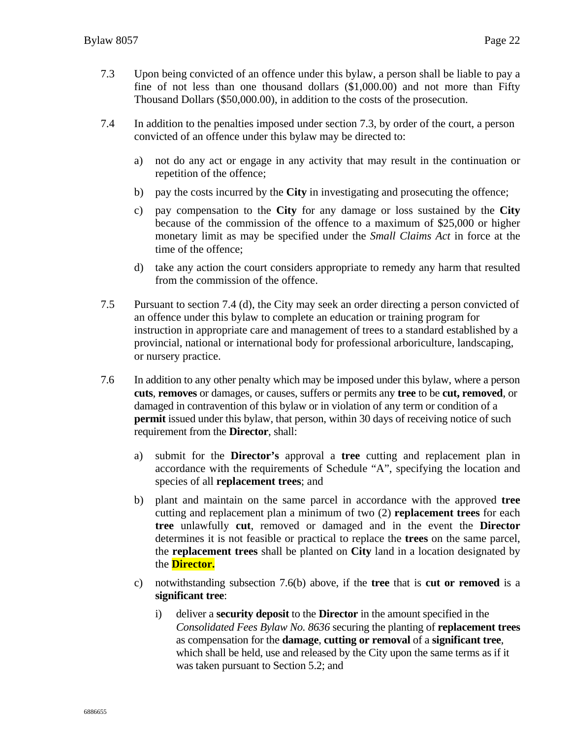- 7.3 Upon being convicted of an offence under this bylaw, a person shall be liable to pay a fine of not less than one thousand dollars (\$1,000.00) and not more than Fifty Thousand Dollars (\$50,000.00), in addition to the costs of the prosecution.
- 7.4 In addition to the penalties imposed under section 7.3, by order of the court, a person convicted of an offence under this bylaw may be directed to:
	- a) not do any act or engage in any activity that may result in the continuation or repetition of the offence;
	- b) pay the costs incurred by the **City** in investigating and prosecuting the offence;
	- c) pay compensation to the **City** for any damage or loss sustained by the **City** because of the commission of the offence to a maximum of \$25,000 or higher monetary limit as may be specified under the *Small Claims Act* in force at the time of the offence;
	- d) take any action the court considers appropriate to remedy any harm that resulted from the commission of the offence.
- 7.5 Pursuant to section 7.4 (d), the City may seek an order directing a person convicted of an offence under this bylaw to complete an education or training program for instruction in appropriate care and management of trees to a standard established by a provincial, national or international body for professional arboriculture, landscaping, or nursery practice.
- 7.6 In addition to any other penalty which may be imposed under this bylaw, where a person **cuts**, **removes** or damages, or causes, suffers or permits any **tree** to be **cut, removed**, or damaged in contravention of this bylaw or in violation of any term or condition of a **permit** issued under this bylaw, that person, within 30 days of receiving notice of such requirement from the **Director**, shall:
	- a) submit for the **Director's** approval a **tree** cutting and replacement plan in accordance with the requirements of Schedule "A", specifying the location and species of all **replacement trees**; and
	- b) plant and maintain on the same parcel in accordance with the approved **tree** cutting and replacement plan a minimum of two (2) **replacement trees** for each **tree** unlawfully **cut**, removed or damaged and in the event the **Director** determines it is not feasible or practical to replace the **trees** on the same parcel, the **replacement trees** shall be planted on **City** land in a location designated by the **Director.**
	- c) notwithstanding subsection 7.6(b) above, if the **tree** that is **cut or removed** is a **significant tree**:
		- i) deliver a **security deposit** to the **Director** in the amount specified in the *Consolidated Fees Bylaw No. 8636* securing the planting of **replacement trees**  as compensation for the **damage**, **cutting or removal** of a **significant tree**, which shall be held, use and released by the City upon the same terms as if it was taken pursuant to Section 5.2; and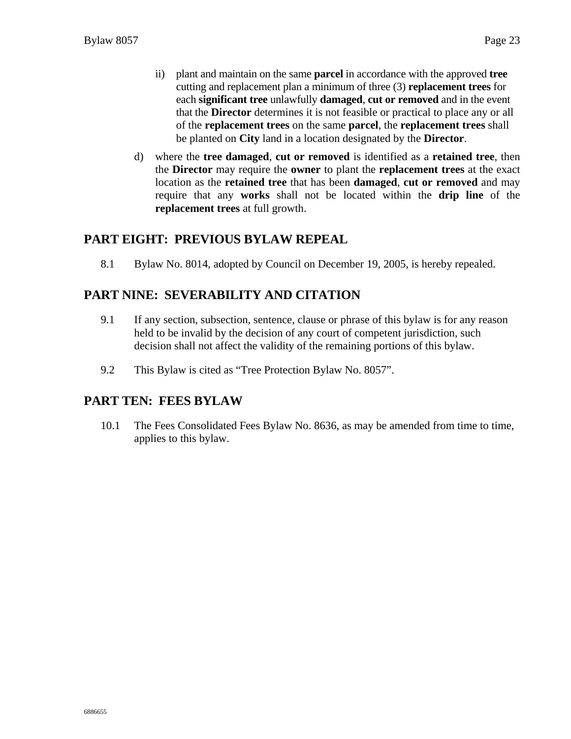- ii) plant and maintain on the same **parcel** in accordance with the approved **tree** cutting and replacement plan a minimum of three (3) **replacement trees** for each **significant tree** unlawfully **damaged**, **cut or removed** and in the event that the **Director** determines it is not feasible or practical to place any or all of the **replacement trees** on the same **parcel**, the **replacement trees** shall be planted on **City** land in a location designated by the **Director**.
- d) where the **tree damaged**, **cut or removed** is identified as a **retained tree**, then the **Director** may require the **owner** to plant the **replacement trees** at the exact location as the **retained tree** that has been **damaged**, **cut or removed** and may require that any **works** shall not be located within the **drip line** of the **replacement trees** at full growth.

### **PART EIGHT: PREVIOUS BYLAW REPEAL**

8.1 Bylaw No. 8014, adopted by Council on December 19, 2005, is hereby repealed.

### **PART NINE: SEVERABILITY AND CITATION**

- 9.1 If any section, subsection, sentence, clause or phrase of this bylaw is for any reason held to be invalid by the decision of any court of competent jurisdiction, such decision shall not affect the validity of the remaining portions of this bylaw.
- 9.2 This Bylaw is cited as "Tree Protection Bylaw No. 8057".

### **PART TEN: FEES BYLAW**

10.1 The Fees Consolidated Fees Bylaw No. 8636, as may be amended from time to time, applies to this bylaw.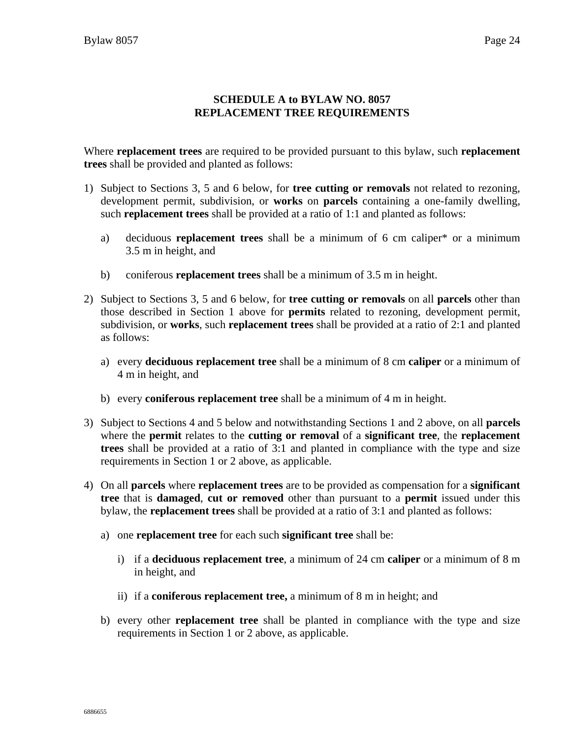#### **SCHEDULE A to BYLAW NO. 8057 REPLACEMENT TREE REQUIREMENTS**

Where **replacement trees** are required to be provided pursuant to this bylaw, such **replacement trees** shall be provided and planted as follows:

- 1) Subject to Sections 3, 5 and 6 below, for **tree cutting or removals** not related to rezoning, development permit, subdivision, or **works** on **parcels** containing a one-family dwelling, such **replacement trees** shall be provided at a ratio of 1:1 and planted as follows:
	- a) deciduous **replacement trees** shall be a minimum of 6 cm caliper\* or a minimum 3.5 m in height, and
	- b) coniferous **replacement trees** shall be a minimum of 3.5 m in height.
- 2) Subject to Sections 3, 5 and 6 below, for **tree cutting or removals** on all **parcels** other than those described in Section 1 above for **permits** related to rezoning, development permit, subdivision, or **works**, such **replacement trees** shall be provided at a ratio of 2:1 and planted as follows:
	- a) every **deciduous replacement tree** shall be a minimum of 8 cm **caliper** or a minimum of 4 m in height, and
	- b) every **coniferous replacement tree** shall be a minimum of 4 m in height.
- 3) Subject to Sections 4 and 5 below and notwithstanding Sections 1 and 2 above, on all **parcels**  where the **permit** relates to the **cutting or removal** of a **significant tree**, the **replacement trees** shall be provided at a ratio of 3:1 and planted in compliance with the type and size requirements in Section 1 or 2 above, as applicable.
- 4) On all **parcels** where **replacement trees** are to be provided as compensation for a **significant tree** that is **damaged**, **cut or removed** other than pursuant to a **permit** issued under this bylaw, the **replacement trees** shall be provided at a ratio of 3:1 and planted as follows:
	- a) one **replacement tree** for each such **significant tree** shall be:
		- i) if a **deciduous replacement tree**, a minimum of 24 cm **caliper** or a minimum of 8 m in height, and
		- ii) if a **coniferous replacement tree,** a minimum of 8 m in height; and
	- b) every other **replacement tree** shall be planted in compliance with the type and size requirements in Section 1 or 2 above, as applicable.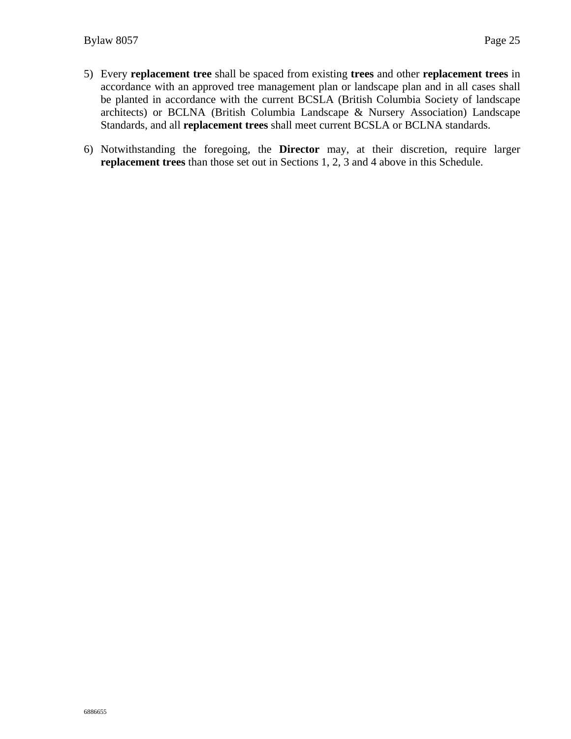- 5) Every **replacement tree** shall be spaced from existing **trees** and other **replacement trees** in accordance with an approved tree management plan or landscape plan and in all cases shall be planted in accordance with the current BCSLA (British Columbia Society of landscape architects) or BCLNA (British Columbia Landscape & Nursery Association) Landscape Standards, and all **replacement trees** shall meet current BCSLA or BCLNA standards.
- 6) Notwithstanding the foregoing, the **Director** may, at their discretion, require larger **replacement trees** than those set out in Sections 1, 2, 3 and 4 above in this Schedule.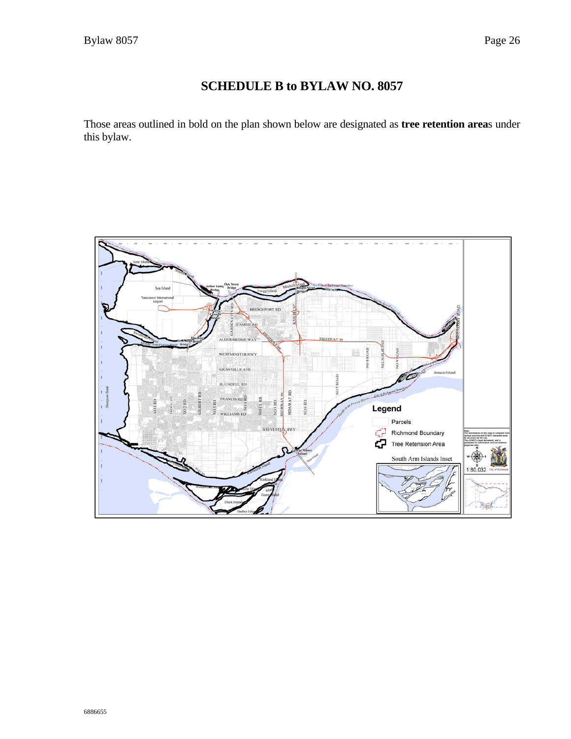### **SCHEDULE B to BYLAW NO. 8057**

Those areas outlined in bold on the plan shown below are designated as **tree retention area**s under this bylaw.

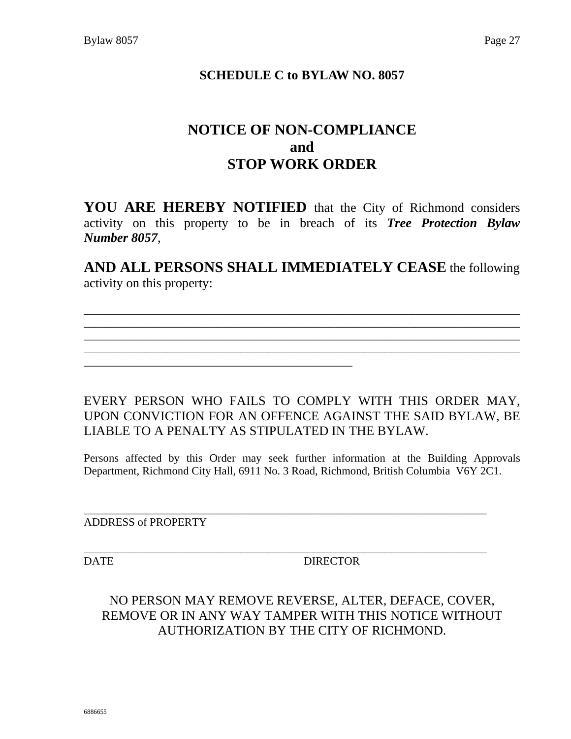### **SCHEDULE C to BYLAW NO. 8057**

## **NOTICE OF NON-COMPLIANCE and STOP WORK ORDER**

**YOU ARE HEREBY NOTIFIED** that the City of Richmond considers activity on this property to be in breach of its *Tree Protection Bylaw Number 8057*,

**AND ALL PERSONS SHALL IMMEDIATELY CEASE** the following activity on this property:

\_\_\_\_\_\_\_\_\_\_\_\_\_\_\_\_\_\_\_\_\_\_\_\_\_\_\_\_\_\_\_\_\_\_\_\_\_\_\_\_\_\_\_\_\_\_\_\_\_\_\_\_\_\_\_\_\_\_\_\_\_\_\_\_\_\_\_\_\_\_\_\_\_\_\_\_\_\_ \_\_\_\_\_\_\_\_\_\_\_\_\_\_\_\_\_\_\_\_\_\_\_\_\_\_\_\_\_\_\_\_\_\_\_\_\_\_\_\_\_\_\_\_\_\_\_\_\_\_\_\_\_\_\_\_\_\_\_\_\_\_\_\_\_\_\_\_\_\_\_\_\_\_\_\_\_\_ \_\_\_\_\_\_\_\_\_\_\_\_\_\_\_\_\_\_\_\_\_\_\_\_\_\_\_\_\_\_\_\_\_\_\_\_\_\_\_\_\_\_\_\_\_\_\_\_\_\_\_\_\_\_\_\_\_\_\_\_\_\_\_\_\_\_\_\_\_\_\_\_\_\_\_\_\_\_ \_\_\_\_\_\_\_\_\_\_\_\_\_\_\_\_\_\_\_\_\_\_\_\_\_\_\_\_\_\_\_\_\_\_\_\_\_\_\_\_\_\_\_\_\_\_\_\_\_\_\_\_\_\_\_\_\_\_\_\_\_\_\_\_\_\_\_\_\_\_\_\_\_\_\_\_\_\_

\_\_\_\_\_\_\_\_\_\_\_\_\_\_\_\_\_\_\_\_\_\_\_\_\_\_\_\_\_\_\_\_\_\_\_\_\_\_\_\_\_\_\_\_\_\_\_\_

EVERY PERSON WHO FAILS TO COMPLY WITH THIS ORDER MAY, UPON CONVICTION FOR AN OFFENCE AGAINST THE SAID BYLAW, BE LIABLE TO A PENALTY AS STIPULATED IN THE BYLAW.

Persons affected by this Order may seek further information at the Building Approvals Department, Richmond City Hall, 6911 No. 3 Road, Richmond, British Columbia V6Y 2C1.

\_\_\_\_\_\_\_\_\_\_\_\_\_\_\_\_\_\_\_\_\_\_\_\_\_\_\_\_\_\_\_\_\_\_\_\_\_\_\_\_\_\_\_\_\_\_\_\_\_\_\_\_\_\_\_\_\_\_\_\_\_\_\_\_\_\_\_\_\_\_\_\_

ADDRESS of PROPERTY

\_\_\_\_\_\_\_\_\_\_\_\_\_\_\_\_\_\_\_\_\_\_\_\_\_\_\_\_\_\_\_\_\_\_\_\_\_\_\_\_\_\_\_\_\_\_\_\_\_\_\_\_\_\_\_\_\_\_\_\_\_\_\_\_\_\_\_\_\_\_\_\_ DATE DIRECTOR

### NO PERSON MAY REMOVE REVERSE, ALTER, DEFACE, COVER, REMOVE OR IN ANY WAY TAMPER WITH THIS NOTICE WITHOUT AUTHORIZATION BY THE CITY OF RICHMOND.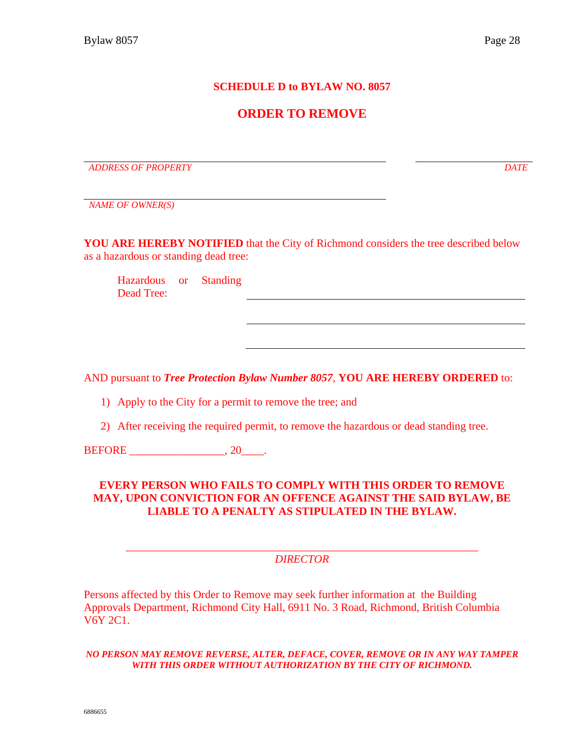#### **SCHEDULE D to BYLAW NO. 8057**

### **ORDER TO REMOVE**

*ADDRESS OF PROPERTY DATE*

*NAME OF OWNER(S)*

**YOU ARE HEREBY NOTIFIED** that the City of Richmond considers the tree described below as a hazardous or standing dead tree:

Hazardous or Standing Dead Tree:

AND pursuant to *Tree Protection Bylaw Number 8057*, **YOU ARE HEREBY ORDERED** to:

1) Apply to the City for a permit to remove the tree; and

2) After receiving the required permit, to remove the hazardous or dead standing tree.

BEFORE 3.20 and 3.20 and 3.20 and 3.20 and 3.20 and 3.20 and 3.20 and 3.20 and 3.20 and 3.20 and 3.20 and 3.20 and 3.20 and 3.20 and 3.20 and 3.20 and 3.20 and 3.20 and 3.20 and 3.20 and 3.20 and 3.20 and 3.20 and 3.20 and

#### **EVERY PERSON WHO FAILS TO COMPLY WITH THIS ORDER TO REMOVE MAY, UPON CONVICTION FOR AN OFFENCE AGAINST THE SAID BYLAW, BE LIABLE TO A PENALTY AS STIPULATED IN THE BYLAW.**

\_\_\_\_\_\_\_\_\_\_\_\_\_\_\_\_\_\_\_\_\_\_\_\_\_\_\_\_\_\_\_\_\_\_\_\_\_\_\_\_\_\_\_\_\_\_\_\_\_\_\_\_\_\_\_\_\_\_\_\_\_\_\_ *DIRECTOR*

Persons affected by this Order to Remove may seek further information at the Building Approvals Department, Richmond City Hall, 6911 No. 3 Road, Richmond, British Columbia V6Y 2C1.

*NO PERSON MAY REMOVE REVERSE, ALTER, DEFACE, COVER, REMOVE OR IN ANY WAY TAMPER WITH THIS ORDER WITHOUT AUTHORIZATION BY THE CITY OF RICHMOND.*